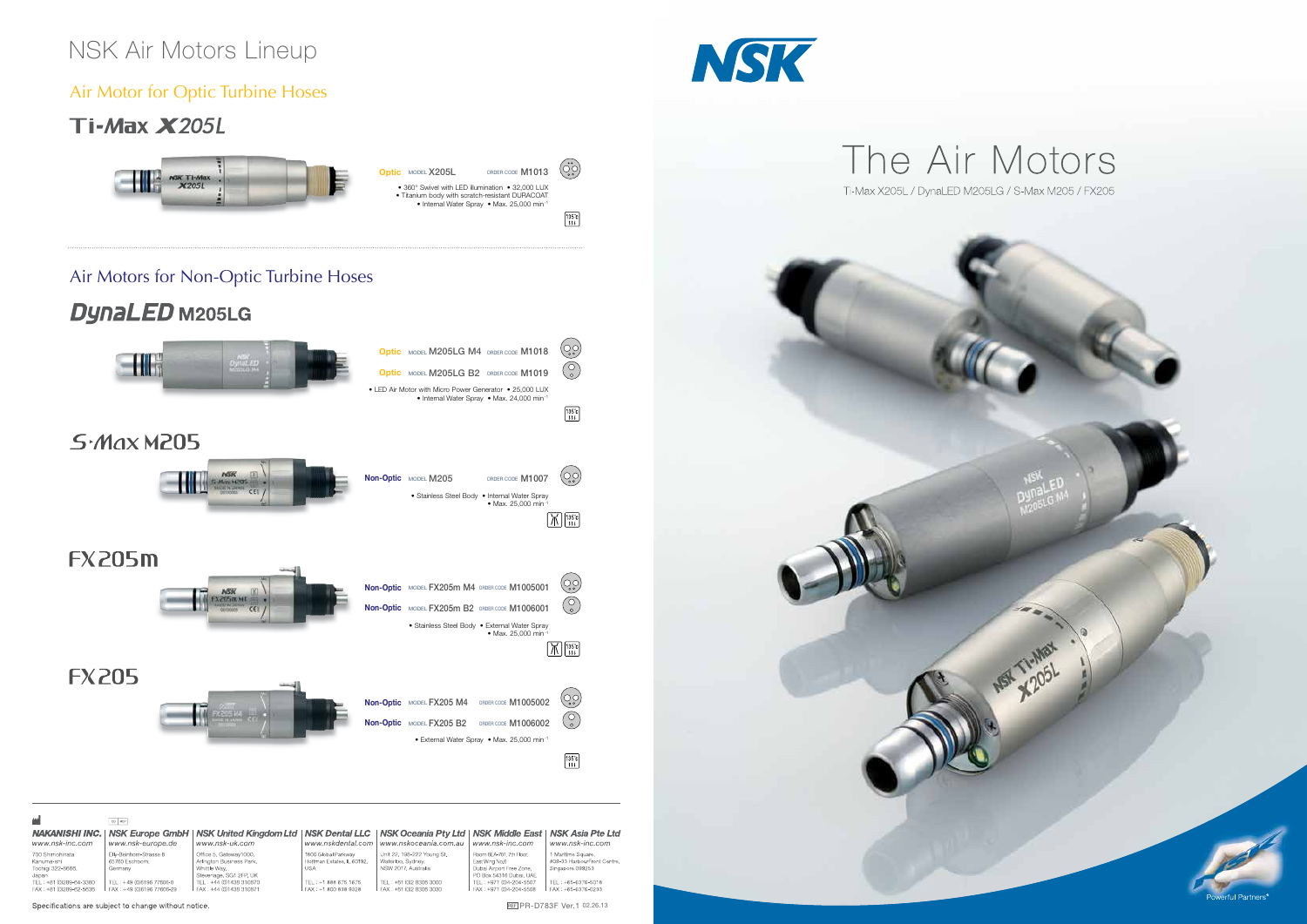# NSK Air Motors Lineup

### Air Motor for Optic Turbine Hoses

## **Ti-Max X205L**

Air Motors for Non-Optic Turbine Hoses

# **DynaLED** M205LG





| 酬                                                                                   | EC REP                                                       |                                                                                              |                                                          |                                                                                                    |                                                                                                   |                                                                       |
|-------------------------------------------------------------------------------------|--------------------------------------------------------------|----------------------------------------------------------------------------------------------|----------------------------------------------------------|----------------------------------------------------------------------------------------------------|---------------------------------------------------------------------------------------------------|-----------------------------------------------------------------------|
| www.nsk-inc.com                                                                     | <b>NAKANISHI INC.   NSK Europe GmbH</b><br>www.nsk-europe.de | <b>NSK United Kingdom Ltd</b><br>www.nsk-uk.com                                              | www.nskdental.com                                        | NSK Dental LLC   NSK Oceania Pty Ltd   NSK Middle East   NSK Asia Pte Ltd<br>www.nskoceania.com.au | www.nsk-inc.com                                                                                   | www.nsk-inc.com                                                       |
| 700 Shimohinata<br>Kanuma-shi<br>Tochigi 322-8666,<br>Japan                         | Elly-Beinhorn-Strasse 8<br>65760 Eschborn.<br>Germany        | Office 5, Gateway1000,<br>Arlington Business Park,<br>Whittle Wav.<br>Stevenage, SG1 2FP, UK | 1800 Global Parkway<br>Hoffman Estates, IL 60192,<br>USA | Unit 22, 198-222 Young St.<br>Waterloo, Sydney,<br>NSW 2017, Australia                             | Room 6EA-701. 7th Floor.<br>East Wing No.6<br>Dubai Airport Free Zone.<br>PO Box 54316 Dubai, UAE | 1 Maritime Square,<br>#09-33 HarbourFront Centre.<br>Singapore 099253 |
| TEL: +81 (0)289-64-3380<br>FAX: +81 (0)289-62-5636                                  | TEL: +49 (0)6196 77606-0<br>FAX: +49 (0)6196 77606-29        | TEL: +44 (0)1438 310670<br>FAX: +44 (0)1438 310671                                           | TEL: +1 888 675 1675<br>FAX: +1 800 838 9328             | TEL: +61 (0)2 8306 3000<br>FAX: +61 (0)2 8306 3030                                                 | TEL: +971 (0)4-204-5507<br>FAX: +971 (0)4-204-5508                                                | TEL: +65-6376-5018<br>FAX: +65-6376-0233                              |
| REF PR-D783F Ver.1 02.26.13<br>Specifications are subject to change without notice. |                                                              |                                                                                              |                                                          |                                                                                                    |                                                                                                   |                                                                       |







REF PR-D783F Ver.1 02.26.13

 $\ddot{\text{Co}}$ 

 $\frac{135^{\circ}C}{111}$ 

**MSH TI-MEX**